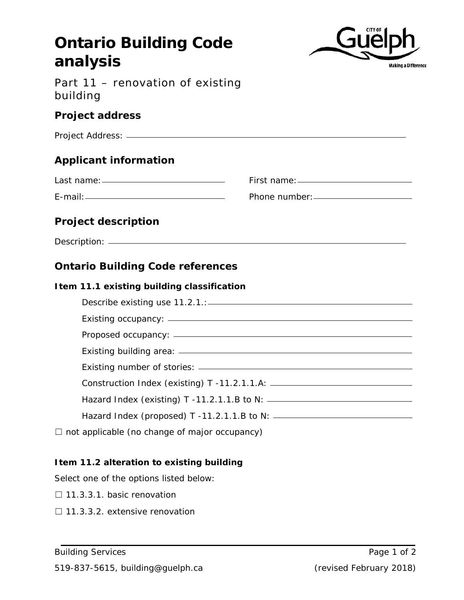# **Ontario Building Code analysis** Part 11 – renovation of existing building **Project address**

| <b>Applicant information</b> |  |
|------------------------------|--|
|                              |  |
|                              |  |
| <b>Project description</b>   |  |
|                              |  |

# **Ontario Building Code references**

#### **Item 11.1 existing building classification**

| Construction Index (existing) T -11.2.1.1.A: ___________________________________ |
|----------------------------------------------------------------------------------|
|                                                                                  |
|                                                                                  |
|                                                                                  |

 $\Box$  not applicable (no change of major occupancy)

# **Item 11.2 alteration to existing building**

Select one of the options listed below:

- □ 11.3.3.1. basic renovation
- □ 11.3.3.2. extensive renovation